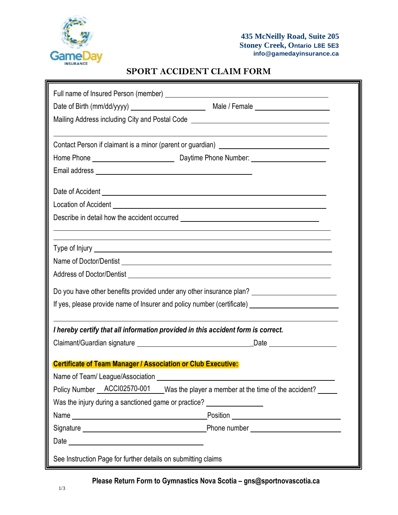

## **SPORT ACCIDENT CLAIM FORM**

| Mailing Address including City and Postal Code [1982] [2000] [2000] [2000] [2000] [2000] [2000] [2000] [2000] [                                                                                                                |  |  |  |
|--------------------------------------------------------------------------------------------------------------------------------------------------------------------------------------------------------------------------------|--|--|--|
|                                                                                                                                                                                                                                |  |  |  |
| Contact Person if claimant is a minor (parent or guardian) ______________________                                                                                                                                              |  |  |  |
|                                                                                                                                                                                                                                |  |  |  |
|                                                                                                                                                                                                                                |  |  |  |
| Date of Accident Learning and Contract and Contract and Contract and Contract and Contract and Contract and Contract and Contract and Contract and Contract and Contract and Contract and Contract and Contract and Contract a |  |  |  |
|                                                                                                                                                                                                                                |  |  |  |
|                                                                                                                                                                                                                                |  |  |  |
| <u> 1989 - Andrea Barbara, Amerikaansk politiker (d. 1989)</u>                                                                                                                                                                 |  |  |  |
| ,我们也不会有什么。""我们的人,我们也不会有什么?""我们的人,我们也不会有什么?""我们的人,我们也不会有什么?""我们的人,我们也不会有什么?""我们的人                                                                                                                                               |  |  |  |
|                                                                                                                                                                                                                                |  |  |  |
| Address of Doctor/Dentist Learning Contract and Contract Contract of Decision Contract Contract Contract Contract Contract Contract Contract Contract Contract Contract Contract Contract Contract Contract Contract Contract  |  |  |  |
| Do you have other benefits provided under any other insurance plan? _______________________________                                                                                                                            |  |  |  |
| If yes, please provide name of Insurer and policy number (certificate) ____________________________                                                                                                                            |  |  |  |
| I hereby certify that all information provided in this accident form is correct.                                                                                                                                               |  |  |  |
|                                                                                                                                                                                                                                |  |  |  |
|                                                                                                                                                                                                                                |  |  |  |
| <b>Certificate of Team Manager / Association or Club Executive:</b>                                                                                                                                                            |  |  |  |
| Name of Team/ League/Association                                                                                                                                                                                               |  |  |  |
| Policy Number ACCl02570-001 Was the player a member at the time of the accident?                                                                                                                                               |  |  |  |
| Was the injury during a sanctioned game or practice? ___________________________                                                                                                                                               |  |  |  |
|                                                                                                                                                                                                                                |  |  |  |
|                                                                                                                                                                                                                                |  |  |  |
|                                                                                                                                                                                                                                |  |  |  |
| See Instruction Page for further details on submitting claims                                                                                                                                                                  |  |  |  |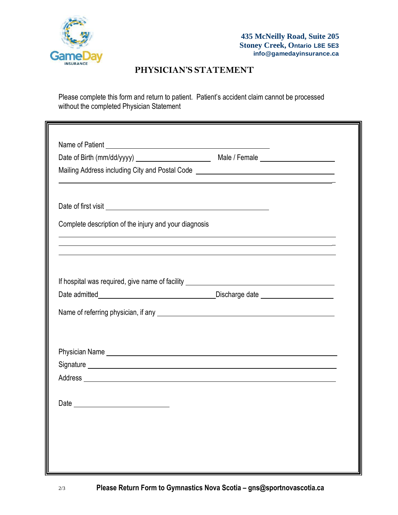

## **PHYSICIAN'S STATEMENT**

Please complete this form and return to patient. Patient's accident claim cannot be processed without the completed Physician Statement

| Mailing Address including City and Postal Code <b>contains a manufacture of the Container</b> Mailing Address including                                                                                                        |                                                                                                                      |  |
|--------------------------------------------------------------------------------------------------------------------------------------------------------------------------------------------------------------------------------|----------------------------------------------------------------------------------------------------------------------|--|
|                                                                                                                                                                                                                                | <u> 1989 - Andrea Santa Andrea Santa Andrea Santa Andrea Santa Andrea Santa Andrea Santa Andrea Santa Andrea San</u> |  |
|                                                                                                                                                                                                                                |                                                                                                                      |  |
| Complete description of the injury and your diagnosis                                                                                                                                                                          |                                                                                                                      |  |
| <u> 1989 - Andrea Santa Andrea Andrea Andrea Andrea Andrea Andrea Andrea Andrea Andrea Andrea Andrea Andrea Andr</u><br><u> 1989 - Johann Stoff, amerikansk politiker (d. 1989)</u>                                            |                                                                                                                      |  |
| If hospital was required, give name of facility ________________________________                                                                                                                                               |                                                                                                                      |  |
|                                                                                                                                                                                                                                |                                                                                                                      |  |
|                                                                                                                                                                                                                                |                                                                                                                      |  |
|                                                                                                                                                                                                                                |                                                                                                                      |  |
|                                                                                                                                                                                                                                |                                                                                                                      |  |
|                                                                                                                                                                                                                                |                                                                                                                      |  |
|                                                                                                                                                                                                                                |                                                                                                                      |  |
| Address experience and the contract of the contract of the contract of the contract of the contract of the contract of the contract of the contract of the contract of the contract of the contract of the contract of the con |                                                                                                                      |  |
|                                                                                                                                                                                                                                |                                                                                                                      |  |
|                                                                                                                                                                                                                                |                                                                                                                      |  |
|                                                                                                                                                                                                                                |                                                                                                                      |  |
|                                                                                                                                                                                                                                |                                                                                                                      |  |
|                                                                                                                                                                                                                                |                                                                                                                      |  |
|                                                                                                                                                                                                                                |                                                                                                                      |  |